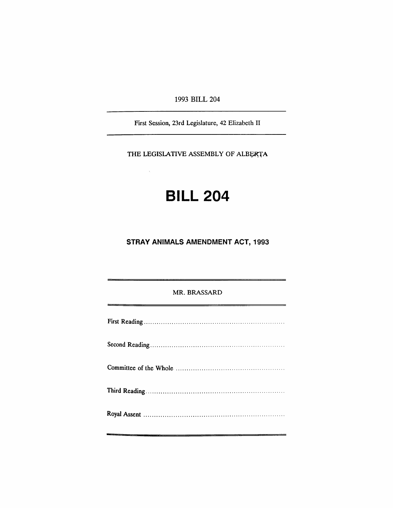1993 BILL 204

First Session, 23rd Legislature, 42 Elizabeth II

THE LEGISLATIVE ASSEMBLY OF ALBERTA

# **BILL 204**

## **STRAY ANIMALS AMENDMENT ACT, 1993**

#### MR. BRASSARD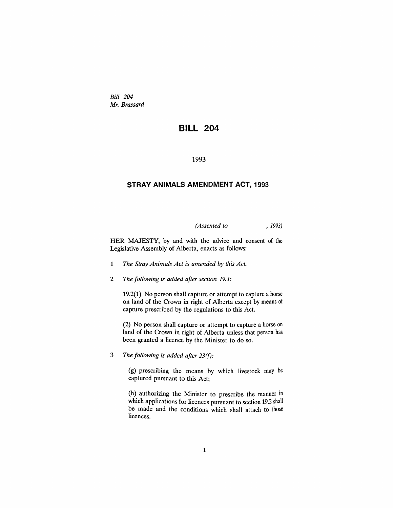*Bill 204 Mr. Brassard*

### **BILL 204**

1993

#### **STRAY ANIMALS AMENDMENT ACT, 1993**

*(Assented to* , 1993)

HER MAJESTY, by and with the advice and consent of the Legislative Assembly of Alberta, enacts as follows:

- 1 *The Stray Animals Act is amended* by *this Act.*
- 2 *The following is added after section 19.1:*

19.2(1) No person shall capture or attempt to capture a horse on land of the Crown in right of Alberta except by means of capture prescribed by the regulations to this Act.

(2) No person shall capture or attempt to capture a horse on land of the Crown in right of Alberta unless that person has been granted a licence by the Minister to do so.

3 *The following is added after 23(f):*

(g) prescribing the means by which livestock may be captured pursuant to this Act;

(h) authorizing the Minister to prescribe the manner in which applications for licences pursuant to section 19.2 shall be made and the conditions which shall attach to those licences.